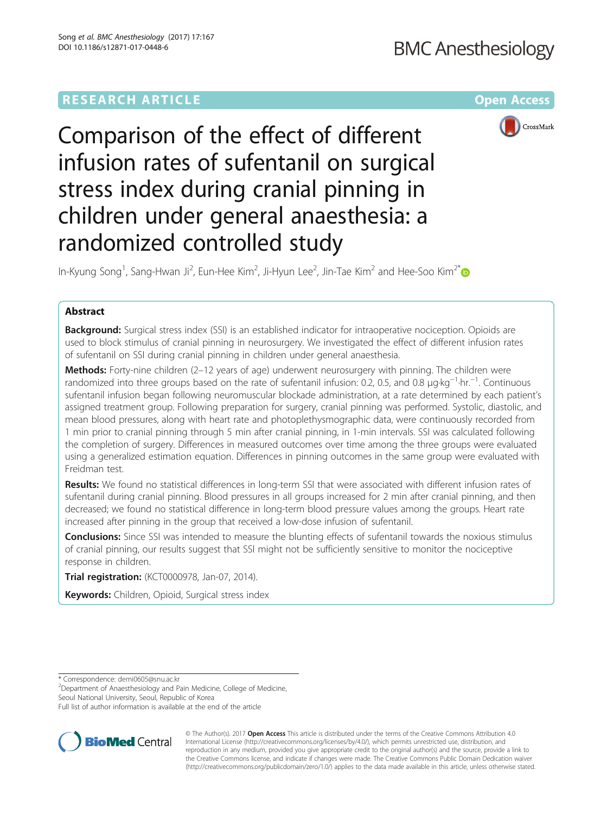# **BMC Anesthesiology**

## **RESEARCH ARTICLE Example 2014 12:30 The Company Access** (RESEARCH ARTICLE



Comparison of the effect of different infusion rates of sufentanil on surgical stress index during cranial pinning in children under general anaesthesia: a randomized controlled study

In-Kyung Song<sup>1</sup>, Sang-Hwan Ji<sup>2</sup>, Eun-Hee Kim<sup>2</sup>, Ji-Hyun Lee<sup>2</sup>, Jin-Tae Kim<sup>2</sup> and Hee-Soo Kim<sup>2\*</sup>

## Abstract

**Background:** Surgical stress index (SSI) is an established indicator for intraoperative nociception. Opioids are used to block stimulus of cranial pinning in neurosurgery. We investigated the effect of different infusion rates of sufentanil on SSI during cranial pinning in children under general anaesthesia.

Methods: Forty-nine children (2-12 years of age) underwent neurosurgery with pinning. The children were randomized into three groups based on the rate of sufentanil infusion: 0.2, 0.5, and 0.8 μg·kg−<sup>1</sup> ·hr.−<sup>1</sup> . Continuous sufentanil infusion began following neuromuscular blockade administration, at a rate determined by each patient's assigned treatment group. Following preparation for surgery, cranial pinning was performed. Systolic, diastolic, and mean blood pressures, along with heart rate and photoplethysmographic data, were continuously recorded from 1 min prior to cranial pinning through 5 min after cranial pinning, in 1-min intervals. SSI was calculated following the completion of surgery. Differences in measured outcomes over time among the three groups were evaluated using a generalized estimation equation. Differences in pinning outcomes in the same group were evaluated with Freidman test.

Results: We found no statistical differences in long-term SSI that were associated with different infusion rates of sufentanil during cranial pinning. Blood pressures in all groups increased for 2 min after cranial pinning, and then decreased; we found no statistical difference in long-term blood pressure values among the groups. Heart rate increased after pinning in the group that received a low-dose infusion of sufentanil.

**Conclusions:** Since SSI was intended to measure the blunting effects of sufentanil towards the noxious stimulus of cranial pinning, our results suggest that SSI might not be sufficiently sensitive to monitor the nociceptive response in children.

Trial registration: [\(KCT0000978,](https://cris.nih.go.kr/cris/search/search_result_st01_en.jsp?seq=6311) Jan-07, 2014).

Keywords: Children, Opioid, Surgical stress index

\* Correspondence: [demi0605@snu.ac.kr](mailto:demi0605@snu.ac.kr) <sup>2</sup>

<sup>2</sup>Department of Anaesthesiology and Pain Medicine, College of Medicine, Seoul National University, Seoul, Republic of Korea

Full list of author information is available at the end of the article



© The Author(s). 2017 **Open Access** This article is distributed under the terms of the Creative Commons Attribution 4.0 International License [\(http://creativecommons.org/licenses/by/4.0/](http://creativecommons.org/licenses/by/4.0/)), which permits unrestricted use, distribution, and reproduction in any medium, provided you give appropriate credit to the original author(s) and the source, provide a link to the Creative Commons license, and indicate if changes were made. The Creative Commons Public Domain Dedication waiver [\(http://creativecommons.org/publicdomain/zero/1.0/](http://creativecommons.org/publicdomain/zero/1.0/)) applies to the data made available in this article, unless otherwise stated.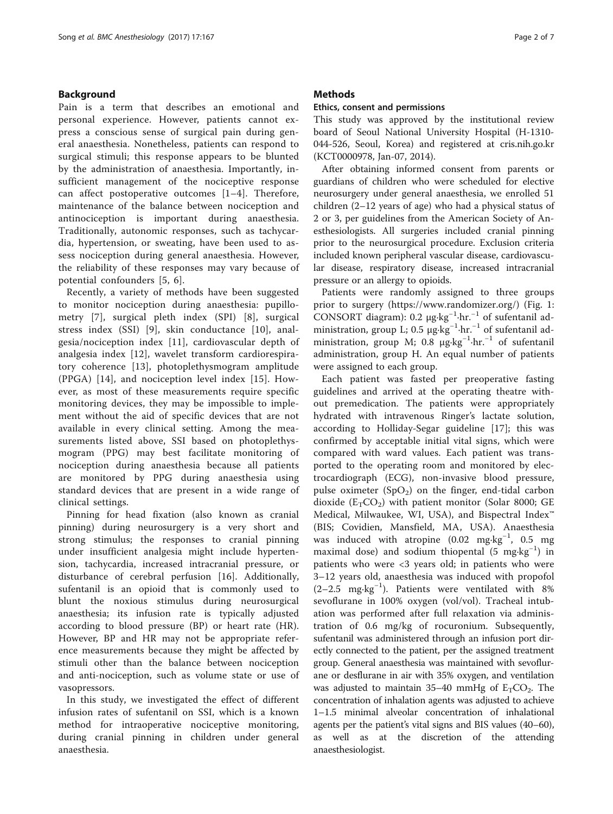## Background

Pain is a term that describes an emotional and personal experience. However, patients cannot express a conscious sense of surgical pain during general anaesthesia. Nonetheless, patients can respond to surgical stimuli; this response appears to be blunted by the administration of anaesthesia. Importantly, insufficient management of the nociceptive response can affect postoperative outcomes [[1](#page-6-0)–[4](#page-6-0)]. Therefore, maintenance of the balance between nociception and antinociception is important during anaesthesia. Traditionally, autonomic responses, such as tachycardia, hypertension, or sweating, have been used to assess nociception during general anaesthesia. However, the reliability of these responses may vary because of potential confounders [[5, 6\]](#page-6-0).

Recently, a variety of methods have been suggested to monitor nociception during anaesthesia: pupillometry [[7\]](#page-6-0), surgical pleth index (SPI) [\[8](#page-6-0)], surgical stress index (SSI) [[9](#page-6-0)], skin conductance [[10\]](#page-6-0), analgesia/nociception index [[11](#page-6-0)], cardiovascular depth of analgesia index [[12](#page-6-0)], wavelet transform cardiorespiratory coherence [\[13\]](#page-6-0), photoplethysmogram amplitude (PPGA) [[14](#page-6-0)], and nociception level index [[15\]](#page-6-0). However, as most of these measurements require specific monitoring devices, they may be impossible to implement without the aid of specific devices that are not available in every clinical setting. Among the measurements listed above, SSI based on photoplethysmogram (PPG) may best facilitate monitoring of nociception during anaesthesia because all patients are monitored by PPG during anaesthesia using standard devices that are present in a wide range of clinical settings.

Pinning for head fixation (also known as cranial pinning) during neurosurgery is a very short and strong stimulus; the responses to cranial pinning under insufficient analgesia might include hypertension, tachycardia, increased intracranial pressure, or disturbance of cerebral perfusion [\[16](#page-6-0)]. Additionally, sufentanil is an opioid that is commonly used to blunt the noxious stimulus during neurosurgical anaesthesia; its infusion rate is typically adjusted according to blood pressure (BP) or heart rate (HR). However, BP and HR may not be appropriate reference measurements because they might be affected by stimuli other than the balance between nociception and anti-nociception, such as volume state or use of vasopressors.

In this study, we investigated the effect of different infusion rates of sufentanil on SSI, which is a known method for intraoperative nociceptive monitoring, during cranial pinning in children under general anaesthesia.

## **Methods**

## Ethics, consent and permissions

This study was approved by the institutional review board of Seoul National University Hospital (H-1310- 044-526, Seoul, Korea) and registered at [cris.nih.go.kr](http://cris.nih.go.kr) (KCT0000978, Jan-07, 2014).

After obtaining informed consent from parents or guardians of children who were scheduled for elective neurosurgery under general anaesthesia, we enrolled 51 children (2–12 years of age) who had a physical status of 2 or 3, per guidelines from the American Society of Anesthesiologists. All surgeries included cranial pinning prior to the neurosurgical procedure. Exclusion criteria included known peripheral vascular disease, cardiovascular disease, respiratory disease, increased intracranial pressure or an allergy to opioids.

Patients were randomly assigned to three groups prior to surgery [\(https://www.randomizer.org/\)](http://www.randomizer.org) (Fig. [1](#page-2-0): CONSORT diagram): 0.2 μg·kg<sup>-1</sup>·hr.<sup>-1</sup> of sufentanil administration, group L; 0.5 μg·kg<sup>-1</sup>·hr.<sup>-1</sup> of sufentanil administration, group M; 0.8 μg·kg<sup>-1</sup>·hr.<sup>-1</sup> of sufentanil administration, group H. An equal number of patients were assigned to each group.

Each patient was fasted per preoperative fasting guidelines and arrived at the operating theatre without premedication. The patients were appropriately hydrated with intravenous Ringer's lactate solution, according to Holliday-Segar guideline [\[17](#page-6-0)]; this was confirmed by acceptable initial vital signs, which were compared with ward values. Each patient was transported to the operating room and monitored by electrocardiograph (ECG), non-invasive blood pressure, pulse oximeter  $(SpO<sub>2</sub>)$  on the finger, end-tidal carbon dioxide ( $E<sub>T</sub>CO<sub>2</sub>$ ) with patient monitor (Solar 8000; GE Medical, Milwaukee, WI, USA), and Bispectral Index™ (BIS; Covidien, Mansfield, MA, USA). Anaesthesia was induced with atropine (0.02 mg·kg<sup>-1</sup>, 0.5 mg maximal dose) and sodium thiopental (5 mg·kg<sup>-1</sup>) in patients who were  $<$ 3 years old; in patients who were 3–12 years old, anaesthesia was induced with propofol (2–2.5 mg·kg−<sup>1</sup> ). Patients were ventilated with 8% sevoflurane in 100% oxygen (vol/vol). Tracheal intubation was performed after full relaxation via administration of 0.6 mg/kg of rocuronium. Subsequently, sufentanil was administered through an infusion port directly connected to the patient, per the assigned treatment group. General anaesthesia was maintained with sevoflurane or desflurane in air with 35% oxygen, and ventilation was adjusted to maintain 35–40 mmHg of  $E_TCO_2$ . The concentration of inhalation agents was adjusted to achieve 1–1.5 minimal alveolar concentration of inhalational agents per the patient's vital signs and BIS values (40–60), as well as at the discretion of the attending anaesthesiologist.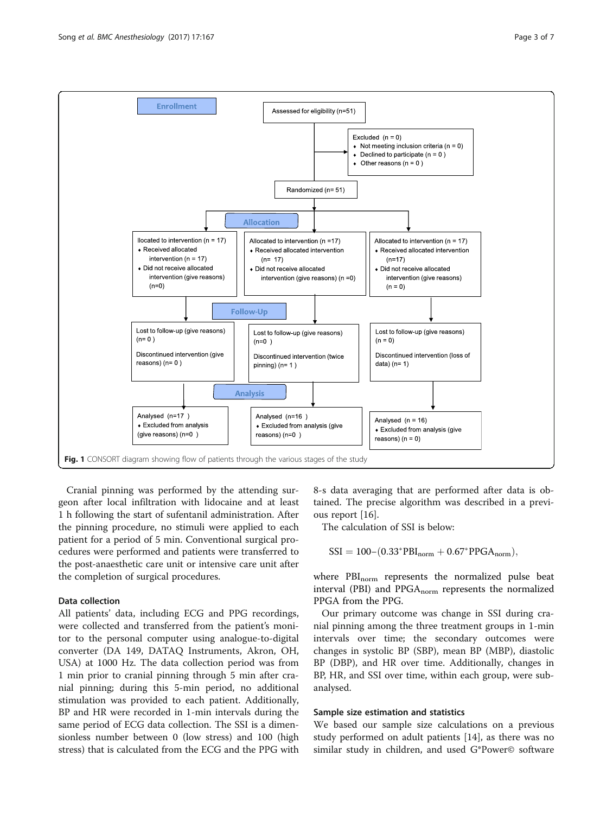<span id="page-2-0"></span>

Cranial pinning was performed by the attending surgeon after local infiltration with lidocaine and at least 1 h following the start of sufentanil administration. After the pinning procedure, no stimuli were applied to each patient for a period of 5 min. Conventional surgical procedures were performed and patients were transferred to the post-anaesthetic care unit or intensive care unit after the completion of surgical procedures.

## Data collection

All patients' data, including ECG and PPG recordings, were collected and transferred from the patient's monitor to the personal computer using analogue-to-digital converter (DA 149, DATAQ Instruments, Akron, OH, USA) at 1000 Hz. The data collection period was from 1 min prior to cranial pinning through 5 min after cranial pinning; during this 5-min period, no additional stimulation was provided to each patient. Additionally, BP and HR were recorded in 1-min intervals during the same period of ECG data collection. The SSI is a dimensionless number between 0 (low stress) and 100 (high stress) that is calculated from the ECG and the PPG with 8-s data averaging that are performed after data is obtained. The precise algorithm was described in a previous report [\[16](#page-6-0)].

The calculation of SSI is below:

$$
SSI = 100 - (0.33*PBInorm + 0.67*PPGAnorm),
$$

where  $PBI_{\text{norm}}$  represents the normalized pulse beat interval (PBI) and PPGA<sub>norm</sub> represents the normalized PPGA from the PPG.

Our primary outcome was change in SSI during cranial pinning among the three treatment groups in 1-min intervals over time; the secondary outcomes were changes in systolic BP (SBP), mean BP (MBP), diastolic BP (DBP), and HR over time. Additionally, changes in BP, HR, and SSI over time, within each group, were subanalysed.

## Sample size estimation and statistics

We based our sample size calculations on a previous study performed on adult patients [\[14\]](#page-6-0), as there was no similar study in children, and used G\*Power© software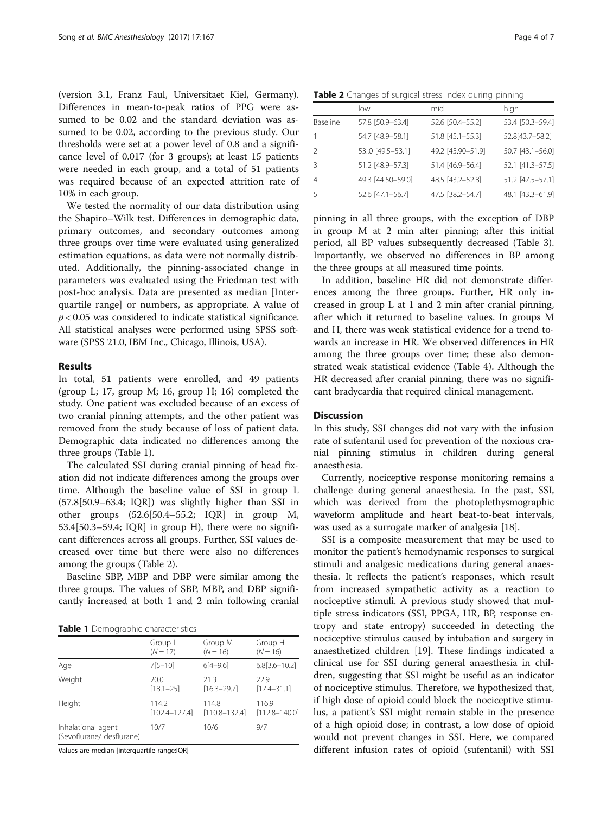(version 3.1, Franz Faul, Universitaet Kiel, Germany). Differences in mean-to-peak ratios of PPG were assumed to be 0.02 and the standard deviation was assumed to be 0.02, according to the previous study. Our thresholds were set at a power level of 0.8 and a significance level of 0.017 (for 3 groups); at least 15 patients were needed in each group, and a total of 51 patients was required because of an expected attrition rate of 10% in each group.

We tested the normality of our data distribution using the Shapiro–Wilk test. Differences in demographic data, primary outcomes, and secondary outcomes among three groups over time were evaluated using generalized estimation equations, as data were not normally distributed. Additionally, the pinning-associated change in parameters was evaluated using the Friedman test with post-hoc analysis. Data are presented as median [Interquartile range] or numbers, as appropriate. A value of  $p < 0.05$  was considered to indicate statistical significance. All statistical analyses were performed using SPSS software (SPSS 21.0, IBM Inc., Chicago, Illinois, USA).

## Results

In total, 51 patients were enrolled, and 49 patients (group L; 17, group M; 16, group H; 16) completed the study. One patient was excluded because of an excess of two cranial pinning attempts, and the other patient was removed from the study because of loss of patient data. Demographic data indicated no differences among the three groups (Table 1).

The calculated SSI during cranial pinning of head fixation did not indicate differences among the groups over time. Although the baseline value of SSI in group L (57.8[50.9–63.4; IQR]) was slightly higher than SSI in other groups (52.6[50.4–55.2; IQR] in group M, 53.4[50.3–59.4; IQR] in group H), there were no significant differences across all groups. Further, SSI values decreased over time but there were also no differences among the groups (Table 2).

Baseline SBP, MBP and DBP were similar among the three groups. The values of SBP, MBP, and DBP significantly increased at both 1 and 2 min following cranial

Table 1 Demographic characteristics

|                                                 | Group L           | Group M           | Group H           |
|-------------------------------------------------|-------------------|-------------------|-------------------|
|                                                 | $(N = 17)$        | $(N = 16)$        | $(N = 16)$        |
| Age                                             | $7[5 - 10]$       | $6[4 - 9.6]$      | $6.8[3.6 - 10.2]$ |
| Weight                                          | 20.0              | 21.3              | 22.9              |
|                                                 | $[18.1 - 25]$     | $[16.3 - 29.7]$   | $[17.4 - 31.1]$   |
| Height                                          | 114.2             | 114.8             | 116.9             |
|                                                 | $[102.4 - 127.4]$ | $[110.8 - 132.4]$ | $[112.8 - 140.0]$ |
| Inhalational agent<br>(Sevoflurane/ desflurane) | 10/7              | 10/6              | 9/7               |

Values are median [interquartile range:IQR]

Table 2 Changes of surgical stress index during pinning

|                | low               | mid               | high             |
|----------------|-------------------|-------------------|------------------|
| Baseline       | 57.8 [50.9-63.4]  | 52.6 [50.4-55.2]  | 53.4 [50.3-59.4] |
|                | 54.7 [48.9-58.1]  | 51.8 [45.1-55.3]  | 52.8[43.7-58.2]  |
|                | 53.0 [49.5-53.1]  | 49.2 [45.90-51.9] | 50.7 [43.1-56.0] |
| 3              | 51.2 [48.9-57.3]  | 51.4 [46.9-56.4]  | 52.1 [41.3-57.5] |
| $\overline{4}$ | 49.3 [44.50-59.0] | 48.5 [43.2-52.8]  | 51.2 [47.5-57.1] |
| 5              | 52.6 [47.1-56.7]  | 47.5 [38.2-54.7]  | 48.1 [43.3-61.9] |
|                |                   |                   |                  |

pinning in all three groups, with the exception of DBP in group M at 2 min after pinning; after this initial period, all BP values subsequently decreased (Table [3](#page-4-0)). Importantly, we observed no differences in BP among the three groups at all measured time points.

In addition, baseline HR did not demonstrate differences among the three groups. Further, HR only increased in group L at 1 and 2 min after cranial pinning, after which it returned to baseline values. In groups M and H, there was weak statistical evidence for a trend towards an increase in HR. We observed differences in HR among the three groups over time; these also demonstrated weak statistical evidence (Table [4\)](#page-4-0). Although the HR decreased after cranial pinning, there was no significant bradycardia that required clinical management.

## **Discussion**

In this study, SSI changes did not vary with the infusion rate of sufentanil used for prevention of the noxious cranial pinning stimulus in children during general anaesthesia.

Currently, nociceptive response monitoring remains a challenge during general anaesthesia. In the past, SSI, which was derived from the photoplethysmographic waveform amplitude and heart beat-to-beat intervals, was used as a surrogate marker of analgesia [\[18\]](#page-6-0).

SSI is a composite measurement that may be used to monitor the patient's hemodynamic responses to surgical stimuli and analgesic medications during general anaesthesia. It reflects the patient's responses, which result from increased sympathetic activity as a reaction to nociceptive stimuli. A previous study showed that multiple stress indicators (SSI, PPGA, HR, BP, response entropy and state entropy) succeeded in detecting the nociceptive stimulus caused by intubation and surgery in anaesthetized children [[19\]](#page-6-0). These findings indicated a clinical use for SSI during general anaesthesia in children, suggesting that SSI might be useful as an indicator of nociceptive stimulus. Therefore, we hypothesized that, if high dose of opioid could block the nociceptive stimulus, a patient's SSI might remain stable in the presence of a high opioid dose; in contrast, a low dose of opioid would not prevent changes in SSI. Here, we compared different infusion rates of opioid (sufentanil) with SSI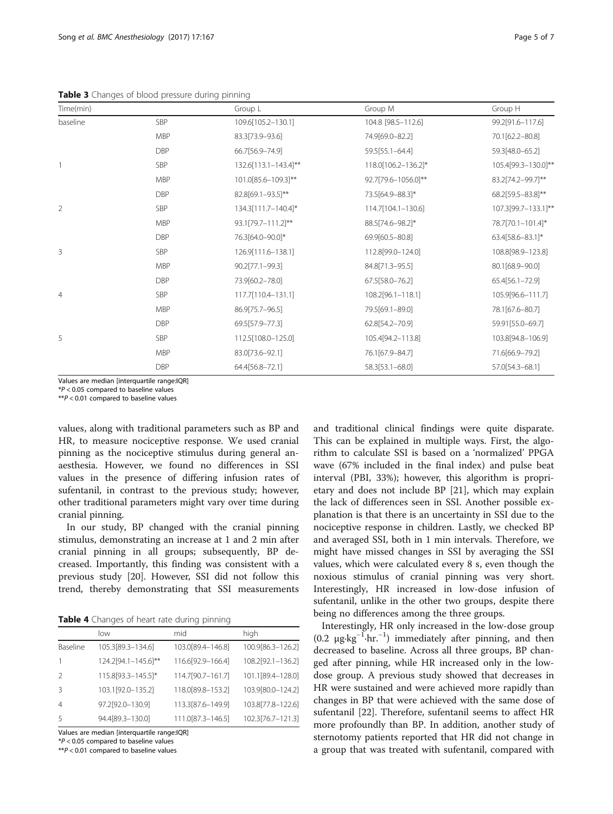<span id="page-4-0"></span>Table 3 Changes of blood pressure during pinning

| Time(min)      |            | Group L              | Group M             | Group H             |
|----------------|------------|----------------------|---------------------|---------------------|
| baseline       | SBP        | 109.6[105.2-130.1]   | 104.8 [98.5-112.6]  | 99.2[91.6-117.6]    |
|                | <b>MBP</b> | 83.3[73.9-93.6]      | 74.9[69.0-82.2]     | 70.1[62.2-80.8]     |
|                | <b>DBP</b> | 66.7[56.9-74.9]      | 59.5[55.1-64.4]     | 59.3[48.0-65.2]     |
|                | SBP        | 132.6[113.1-143.4]** | 118.0[106.2-136.2]* | 105.4[99.3-130.0]** |
|                | <b>MBP</b> | 101.0[85.6-109.3]**  | 92.7[79.6-1056.0]** | 83.2[74.2-99.7]**   |
|                | <b>DBP</b> | 82.8[69.1-93.5]**    | 73.5[64.9-88.3]*    | 68.2[59.5-83.8]**   |
| 2              | SBP        | 134.3[111.7-140.4]*  | 114.7[104.1-130.6]  | 107.3[99.7-133.1]** |
|                | <b>MBP</b> | 93.1[79.7-111.2]**   | 88.5[74.6-98.2]*    | 78.7[70.1-101.4]*   |
|                | <b>DBP</b> | 76.3[64.0-90.0]*     | 69.9[60.5-80.8]     | 63.4[58.6-83.1]*    |
| 3              | SBP        | 126.9[111.6-138.1]   | 112.8[99.0-124.0]   | 108.8[98.9-123.8]   |
|                | <b>MBP</b> | 90.2[77.1-99.3]      | 84.8[71.3-95.5]     | 80.1[68.9-90.0]     |
|                | <b>DBP</b> | 73.9[60.2-78.0]      | 67.5[58.0-76.2]     | 65.4[56.1-72.9]     |
| $\overline{4}$ | SBP        | 117.7[110.4-131.1]   | 108.2[96.1-118.1]   | 105.9[96.6-111.7]   |
|                | <b>MBP</b> | 86.9[75.7-96.5]      | 79.5[69.1-89.0]     | 78.1[67.6-80.7]     |
|                | <b>DBP</b> | 69.5[57.9-77.3]      | 62.8[54.2-70.9]     | 59.91[55.0-69.7]    |
| 5              | <b>SBP</b> | 112.5[108.0-125.0]   | 105.4[94.2-113.8]   | 103.8[94.8-106.9]   |
|                | <b>MBP</b> | 83.0[73.6-92.1]      | 76.1[67.9-84.7]     | 71.6[66.9-79.2]     |
|                | <b>DBP</b> | 64.4[56.8-72.1]      | 58.3[53.1-68.0]     | 57.0[54.3-68.1]     |

Values are median [interquartile range:IQR]

 $*P < 0.05$  compared to baseline values

 $**P < 0.01$  compared to baseline values

values, along with traditional parameters such as BP and HR, to measure nociceptive response. We used cranial pinning as the nociceptive stimulus during general anaesthesia. However, we found no differences in SSI values in the presence of differing infusion rates of sufentanil, in contrast to the previous study; however, other traditional parameters might vary over time during cranial pinning.

In our study, BP changed with the cranial pinning stimulus, demonstrating an increase at 1 and 2 min after cranial pinning in all groups; subsequently, BP decreased. Importantly, this finding was consistent with a previous study [[20\]](#page-6-0). However, SSI did not follow this trend, thereby demonstrating that SSI measurements

Table 4 Changes of heart rate during pinning

|                | low                 | mid               | high              |
|----------------|---------------------|-------------------|-------------------|
| Baseline       | 105.3[89.3-134.6]   | 103.0[89.4-146.8] | 100.9[86.3-126.2] |
|                | 124.2[94.1-145.6]** | 116.6[92.9-166.4] | 108.2[92.1-136.2] |
| 2              | 115.8[93.3-145.5]*  | 114.7[90.7-161.7] | 101.1[89.4-128.0] |
| 3              | 103.1[92.0-135.2]   | 118.0[89.8-153.2] | 103.9[80.0-124.2] |
| $\overline{4}$ | 97.2[92.0-130.9]    | 113.3[87.6-149.9] | 103.8[77.8-122.6] |
| -5             | 94.4[89.3-130.0]    | 111.0[87.3-146.5] | 102.3[76.7-121.3] |

Values are median [interquartile range:IQR]

 $*P < 0.05$  compared to baseline values

 $**P < 0.01$  compared to baseline values

and traditional clinical findings were quite disparate. This can be explained in multiple ways. First, the algorithm to calculate SSI is based on a 'normalized' PPGA wave (67% included in the final index) and pulse beat interval (PBI, 33%); however, this algorithm is proprietary and does not include BP [[21](#page-6-0)], which may explain the lack of differences seen in SSI. Another possible explanation is that there is an uncertainty in SSI due to the nociceptive response in children. Lastly, we checked BP and averaged SSI, both in 1 min intervals. Therefore, we might have missed changes in SSI by averaging the SSI values, which were calculated every 8 s, even though the noxious stimulus of cranial pinning was very short. Interestingly, HR increased in low-dose infusion of sufentanil, unlike in the other two groups, despite there being no differences among the three groups.

Interestingly, HR only increased in the low-dose group (0.2 μg·kg−<sup>1</sup> ·hr.−<sup>1</sup> ) immediately after pinning, and then decreased to baseline. Across all three groups, BP changed after pinning, while HR increased only in the lowdose group. A previous study showed that decreases in HR were sustained and were achieved more rapidly than changes in BP that were achieved with the same dose of sufentanil [\[22](#page-6-0)]. Therefore, sufentanil seems to affect HR more profoundly than BP. In addition, another study of sternotomy patients reported that HR did not change in a group that was treated with sufentanil, compared with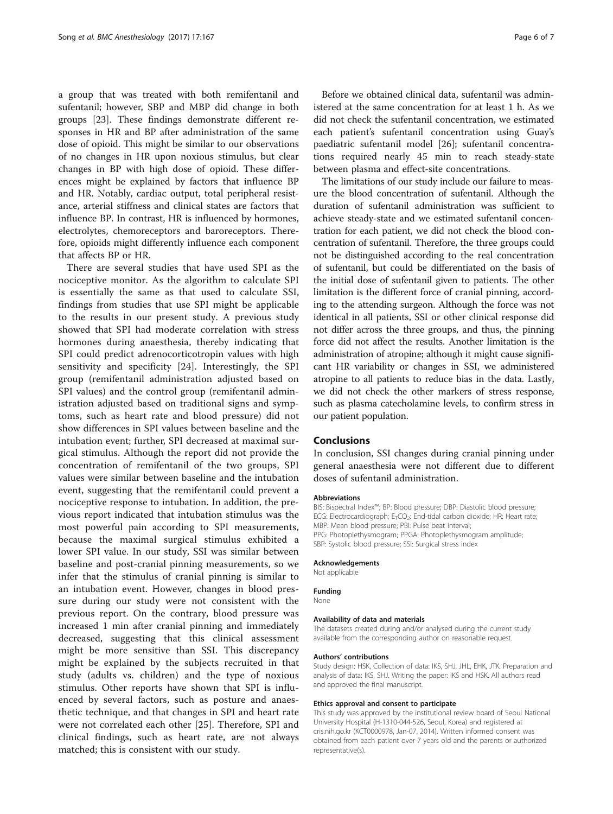a group that was treated with both remifentanil and sufentanil; however, SBP and MBP did change in both groups [\[23](#page-6-0)]. These findings demonstrate different responses in HR and BP after administration of the same dose of opioid. This might be similar to our observations of no changes in HR upon noxious stimulus, but clear changes in BP with high dose of opioid. These differences might be explained by factors that influence BP and HR. Notably, cardiac output, total peripheral resistance, arterial stiffness and clinical states are factors that influence BP. In contrast, HR is influenced by hormones, electrolytes, chemoreceptors and baroreceptors. Therefore, opioids might differently influence each component that affects BP or HR.

There are several studies that have used SPI as the nociceptive monitor. As the algorithm to calculate SPI is essentially the same as that used to calculate SSI, findings from studies that use SPI might be applicable to the results in our present study. A previous study showed that SPI had moderate correlation with stress hormones during anaesthesia, thereby indicating that SPI could predict adrenocorticotropin values with high sensitivity and specificity [[24\]](#page-6-0). Interestingly, the SPI group (remifentanil administration adjusted based on SPI values) and the control group (remifentanil administration adjusted based on traditional signs and symptoms, such as heart rate and blood pressure) did not show differences in SPI values between baseline and the intubation event; further, SPI decreased at maximal surgical stimulus. Although the report did not provide the concentration of remifentanil of the two groups, SPI values were similar between baseline and the intubation event, suggesting that the remifentanil could prevent a nociceptive response to intubation. In addition, the previous report indicated that intubation stimulus was the most powerful pain according to SPI measurements, because the maximal surgical stimulus exhibited a lower SPI value. In our study, SSI was similar between baseline and post-cranial pinning measurements, so we infer that the stimulus of cranial pinning is similar to an intubation event. However, changes in blood pressure during our study were not consistent with the previous report. On the contrary, blood pressure was increased 1 min after cranial pinning and immediately decreased, suggesting that this clinical assessment might be more sensitive than SSI. This discrepancy might be explained by the subjects recruited in that study (adults vs. children) and the type of noxious stimulus. Other reports have shown that SPI is influenced by several factors, such as posture and anaesthetic technique, and that changes in SPI and heart rate were not correlated each other [[25\]](#page-6-0). Therefore, SPI and clinical findings, such as heart rate, are not always matched; this is consistent with our study.

Before we obtained clinical data, sufentanil was administered at the same concentration for at least 1 h. As we did not check the sufentanil concentration, we estimated each patient's sufentanil concentration using Guay's paediatric sufentanil model [\[26\]](#page-6-0); sufentanil concentrations required nearly 45 min to reach steady-state between plasma and effect-site concentrations.

The limitations of our study include our failure to measure the blood concentration of sufentanil. Although the duration of sufentanil administration was sufficient to achieve steady-state and we estimated sufentanil concentration for each patient, we did not check the blood concentration of sufentanil. Therefore, the three groups could not be distinguished according to the real concentration of sufentanil, but could be differentiated on the basis of the initial dose of sufentanil given to patients. The other limitation is the different force of cranial pinning, according to the attending surgeon. Although the force was not identical in all patients, SSI or other clinical response did not differ across the three groups, and thus, the pinning force did not affect the results. Another limitation is the administration of atropine; although it might cause significant HR variability or changes in SSI, we administered atropine to all patients to reduce bias in the data. Lastly, we did not check the other markers of stress response, such as plasma catecholamine levels, to confirm stress in our patient population.

## Conclusions

In conclusion, SSI changes during cranial pinning under general anaesthesia were not different due to different doses of sufentanil administration.

#### Abbreviations

BIS: Bispectral Index™; BP: Blood pressure; DBP: Diastolic blood pressure; ECG: Electrocardiograph;  $E<sub>T</sub>CO<sub>2</sub>$ : End-tidal carbon dioxide; HR: Heart rate; MBP: Mean blood pressure; PBI: Pulse beat interval; PPG: Photoplethysmogram; PPGA: Photoplethysmogram amplitude; SBP: Systolic blood pressure; SSI: Surgical stress index

#### Acknowledgements

Not applicable

#### Funding

None

#### Availability of data and materials

The datasets created during and/or analysed during the current study available from the corresponding author on reasonable request.

#### Authors' contributions

Study design: HSK, Collection of data: IKS, SHJ, JHL, EHK, JTK. Preparation and analysis of data: IKS, SHJ. Writing the paper: IKS and HSK. All authors read and approved the final manuscript.

#### Ethics approval and consent to participate

This study was approved by the institutional review board of Seoul National University Hospital (H-1310-044-526, Seoul, Korea) and registered at [cris.nih.go.kr](http://cris.nih.go.kr) (KCT0000978, Jan-07, 2014). Written informed consent was obtained from each patient over 7 years old and the parents or authorized representative(s).